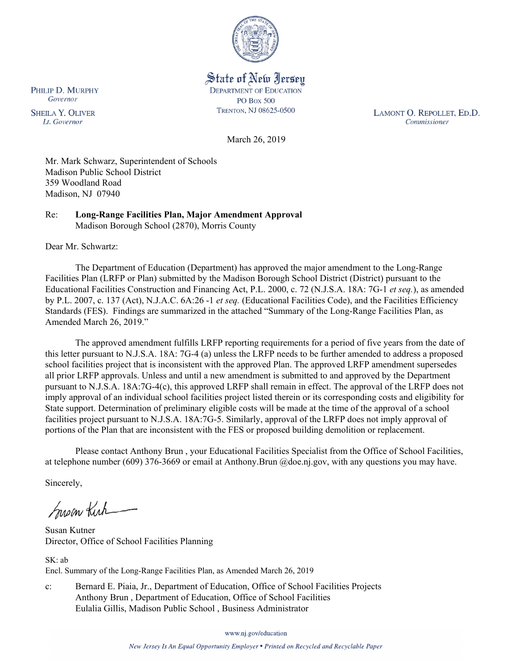

State of New Jersey **DEPARTMENT OF EDUCATION PO Box 500** TRENTON, NJ 08625-0500

LAMONT O. REPOLLET, ED.D. Commissioner

March 26, 2019

Mr. Mark Schwarz, Superintendent of Schools Madison Public School District 359 Woodland Road Madison, NJ 07940

Re: **Long-Range Facilities Plan, Major Amendment Approval** Madison Borough School (2870), Morris County

Dear Mr. Schwartz:

The Department of Education (Department) has approved the major amendment to the Long-Range Facilities Plan (LRFP or Plan) submitted by the Madison Borough School District (District) pursuant to the Educational Facilities Construction and Financing Act, P.L. 2000, c. 72 (N.J.S.A. 18A: 7G-1 *et seq.*), as amended by P.L. 2007, c. 137 (Act), N.J.A.C. 6A:26 -1 *et seq.* (Educational Facilities Code), and the Facilities Efficiency Standards (FES). Findings are summarized in the attached "Summary of the Long-Range Facilities Plan, as Amended March 26, 2019."

The approved amendment fulfills LRFP reporting requirements for a period of five years from the date of this letter pursuant to N.J.S.A. 18A: 7G-4 (a) unless the LRFP needs to be further amended to address a proposed school facilities project that is inconsistent with the approved Plan. The approved LRFP amendment supersedes all prior LRFP approvals. Unless and until a new amendment is submitted to and approved by the Department pursuant to N.J.S.A. 18A:7G-4(c), this approved LRFP shall remain in effect. The approval of the LRFP does not imply approval of an individual school facilities project listed therein or its corresponding costs and eligibility for State support. Determination of preliminary eligible costs will be made at the time of the approval of a school facilities project pursuant to N.J.S.A. 18A:7G-5. Similarly, approval of the LRFP does not imply approval of portions of the Plan that are inconsistent with the FES or proposed building demolition or replacement.

Please contact Anthony Brun , your Educational Facilities Specialist from the Office of School Facilities, at telephone number (609) 376-3669 or email at Anthony.Brun @doe.nj.gov, with any questions you may have.

Sincerely,

Susan Kirk

Susan Kutner Director, Office of School Facilities Planning

 $SK·ab$ Encl. Summary of the Long-Range Facilities Plan, as Amended March 26, 2019

c: Bernard E. Piaia, Jr., Department of Education, Office of School Facilities Projects Anthony Brun , Department of Education, Office of School Facilities Eulalia Gillis, Madison Public School , Business Administrator

www.nj.gov/education

New Jersey Is An Equal Opportunity Employer • Printed on Recycled and Recyclable Paper

PHILIP D. MURPHY Governor

**SHEILA Y. OLIVER** Lt. Governor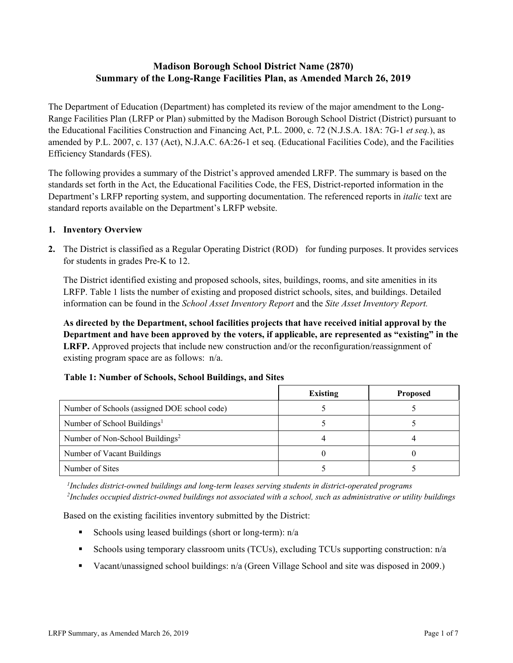# **Madison Borough School District Name (2870) Summary of the Long-Range Facilities Plan, as Amended March 26, 2019**

The Department of Education (Department) has completed its review of the major amendment to the Long-Range Facilities Plan (LRFP or Plan) submitted by the Madison Borough School District (District) pursuant to the Educational Facilities Construction and Financing Act, P.L. 2000, c. 72 (N.J.S.A. 18A: 7G-1 *et seq.*), as amended by P.L. 2007, c. 137 (Act), N.J.A.C. 6A:26-1 et seq. (Educational Facilities Code), and the Facilities Efficiency Standards (FES).

The following provides a summary of the District's approved amended LRFP. The summary is based on the standards set forth in the Act, the Educational Facilities Code, the FES, District-reported information in the Department's LRFP reporting system, and supporting documentation. The referenced reports in *italic* text are standard reports available on the Department's LRFP website.

### **1. Inventory Overview**

**2.** The District is classified as a Regular Operating District (ROD) for funding purposes. It provides services for students in grades Pre-K to 12.

The District identified existing and proposed schools, sites, buildings, rooms, and site amenities in its LRFP. Table 1 lists the number of existing and proposed district schools, sites, and buildings. Detailed information can be found in the *School Asset Inventory Report* and the *Site Asset Inventory Report.*

**As directed by the Department, school facilities projects that have received initial approval by the Department and have been approved by the voters, if applicable, are represented as "existing" in the LRFP.** Approved projects that include new construction and/or the reconfiguration/reassignment of existing program space are as follows: n/a.

|                                              | <b>Existing</b> | <b>Proposed</b> |
|----------------------------------------------|-----------------|-----------------|
| Number of Schools (assigned DOE school code) |                 |                 |
| Number of School Buildings <sup>1</sup>      |                 |                 |
| Number of Non-School Buildings <sup>2</sup>  |                 |                 |
| Number of Vacant Buildings                   |                 |                 |
| Number of Sites                              |                 |                 |

# **Table 1: Number of Schools, School Buildings, and Sites**

*1 Includes district-owned buildings and long-term leases serving students in district-operated programs 2 Includes occupied district-owned buildings not associated with a school, such as administrative or utility buildings*

Based on the existing facilities inventory submitted by the District:

- Schools using leased buildings (short or long-term):  $n/a$
- Schools using temporary classroom units (TCUs), excluding TCUs supporting construction: n/a
- Vacant/unassigned school buildings: n/a (Green Village School and site was disposed in 2009.)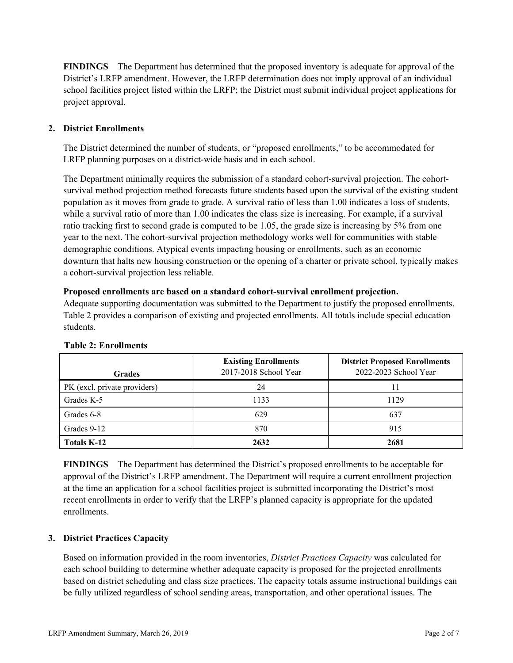**FINDINGS** The Department has determined that the proposed inventory is adequate for approval of the District's LRFP amendment. However, the LRFP determination does not imply approval of an individual school facilities project listed within the LRFP; the District must submit individual project applications for project approval.

# **2. District Enrollments**

The District determined the number of students, or "proposed enrollments," to be accommodated for LRFP planning purposes on a district-wide basis and in each school.

The Department minimally requires the submission of a standard cohort-survival projection. The cohortsurvival method projection method forecasts future students based upon the survival of the existing student population as it moves from grade to grade. A survival ratio of less than 1.00 indicates a loss of students, while a survival ratio of more than 1.00 indicates the class size is increasing. For example, if a survival ratio tracking first to second grade is computed to be 1.05, the grade size is increasing by 5% from one year to the next. The cohort-survival projection methodology works well for communities with stable demographic conditions. Atypical events impacting housing or enrollments, such as an economic downturn that halts new housing construction or the opening of a charter or private school, typically makes a cohort-survival projection less reliable.

#### **Proposed enrollments are based on a standard cohort-survival enrollment projection.**

Adequate supporting documentation was submitted to the Department to justify the proposed enrollments. Table 2 provides a comparison of existing and projected enrollments. All totals include special education students.

| <b>Grades</b>                | <b>Existing Enrollments</b><br>2017-2018 School Year | <b>District Proposed Enrollments</b><br>2022-2023 School Year |
|------------------------------|------------------------------------------------------|---------------------------------------------------------------|
| PK (excl. private providers) | 24                                                   |                                                               |
| Grades K-5                   | 1133                                                 | 1129                                                          |
| Grades 6-8                   | 629                                                  | 637                                                           |
| Grades 9-12                  | 870                                                  | 915                                                           |
| <b>Totals K-12</b>           | 2632                                                 | 2681                                                          |

#### **Table 2: Enrollments**

**FINDINGS** The Department has determined the District's proposed enrollments to be acceptable for approval of the District's LRFP amendment. The Department will require a current enrollment projection at the time an application for a school facilities project is submitted incorporating the District's most recent enrollments in order to verify that the LRFP's planned capacity is appropriate for the updated enrollments.

# **3. District Practices Capacity**

Based on information provided in the room inventories, *District Practices Capacity* was calculated for each school building to determine whether adequate capacity is proposed for the projected enrollments based on district scheduling and class size practices. The capacity totals assume instructional buildings can be fully utilized regardless of school sending areas, transportation, and other operational issues. The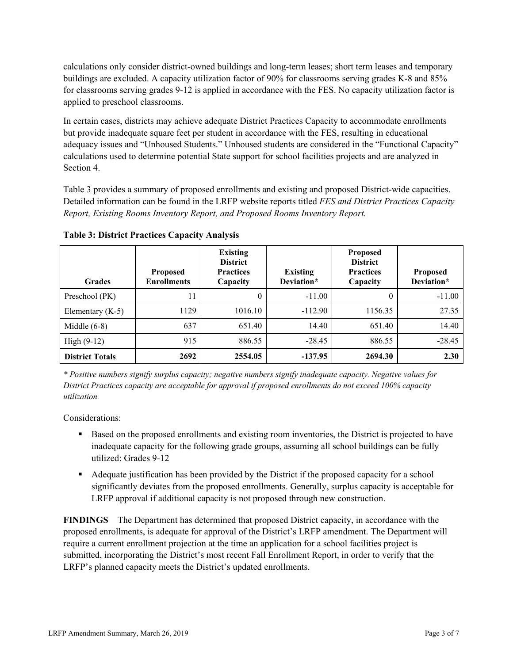calculations only consider district-owned buildings and long-term leases; short term leases and temporary buildings are excluded. A capacity utilization factor of 90% for classrooms serving grades K-8 and 85% for classrooms serving grades 9-12 is applied in accordance with the FES. No capacity utilization factor is applied to preschool classrooms.

In certain cases, districts may achieve adequate District Practices Capacity to accommodate enrollments but provide inadequate square feet per student in accordance with the FES, resulting in educational adequacy issues and "Unhoused Students." Unhoused students are considered in the "Functional Capacity" calculations used to determine potential State support for school facilities projects and are analyzed in Section 4.

Table 3 provides a summary of proposed enrollments and existing and proposed District-wide capacities. Detailed information can be found in the LRFP website reports titled *FES and District Practices Capacity Report, Existing Rooms Inventory Report, and Proposed Rooms Inventory Report.*

| <b>Grades</b>          | <b>Proposed</b><br><b>Enrollments</b> | <b>Existing</b><br><b>District</b><br><b>Practices</b><br>Capacity | <b>Existing</b><br>Deviation* | <b>Proposed</b><br><b>District</b><br><b>Practices</b><br>Capacity | <b>Proposed</b><br>Deviation* |
|------------------------|---------------------------------------|--------------------------------------------------------------------|-------------------------------|--------------------------------------------------------------------|-------------------------------|
| Preschool (PK)         | 11                                    | 0                                                                  | $-11.00$                      | $\theta$                                                           | $-11.00$                      |
| Elementary $(K-5)$     | 1129                                  | 1016.10                                                            | $-112.90$                     | 1156.35                                                            | 27.35                         |
| Middle $(6-8)$         | 637                                   | 651.40                                                             | 14.40                         | 651.40                                                             | 14.40                         |
| $High (9-12)$          | 915                                   | 886.55                                                             | $-28.45$                      | 886.55                                                             | $-28.45$                      |
| <b>District Totals</b> | 2692                                  | 2554.05                                                            | $-137.95$                     | 2694.30                                                            | 2.30                          |

**Table 3: District Practices Capacity Analysis**

*\* Positive numbers signify surplus capacity; negative numbers signify inadequate capacity. Negative values for District Practices capacity are acceptable for approval if proposed enrollments do not exceed 100% capacity utilization.*

Considerations:

- Based on the proposed enrollments and existing room inventories, the District is projected to have inadequate capacity for the following grade groups, assuming all school buildings can be fully utilized: Grades 9-12
- Adequate justification has been provided by the District if the proposed capacity for a school significantly deviates from the proposed enrollments. Generally, surplus capacity is acceptable for LRFP approval if additional capacity is not proposed through new construction.

**FINDINGS**The Department has determined that proposed District capacity, in accordance with the proposed enrollments, is adequate for approval of the District's LRFP amendment. The Department will require a current enrollment projection at the time an application for a school facilities project is submitted, incorporating the District's most recent Fall Enrollment Report, in order to verify that the LRFP's planned capacity meets the District's updated enrollments.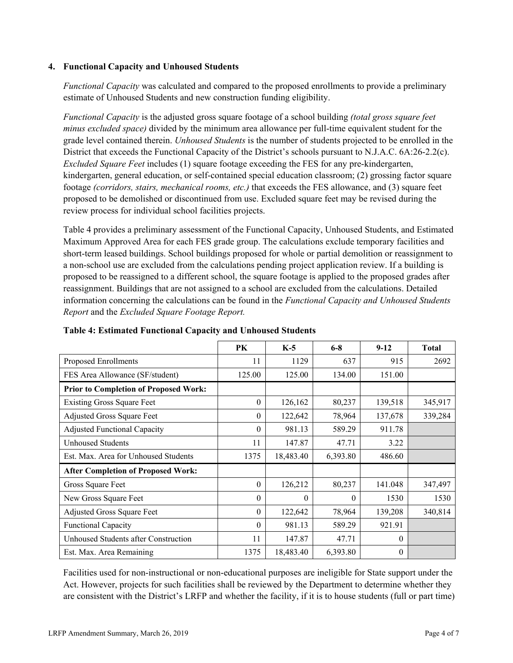### **4. Functional Capacity and Unhoused Students**

*Functional Capacity* was calculated and compared to the proposed enrollments to provide a preliminary estimate of Unhoused Students and new construction funding eligibility.

*Functional Capacity* is the adjusted gross square footage of a school building *(total gross square feet minus excluded space)* divided by the minimum area allowance per full-time equivalent student for the grade level contained therein. *Unhoused Students* is the number of students projected to be enrolled in the District that exceeds the Functional Capacity of the District's schools pursuant to N.J.A.C. 6A:26-2.2(c). *Excluded Square Feet* includes (1) square footage exceeding the FES for any pre-kindergarten, kindergarten, general education, or self-contained special education classroom; (2) grossing factor square footage *(corridors, stairs, mechanical rooms, etc.)* that exceeds the FES allowance, and (3) square feet proposed to be demolished or discontinued from use. Excluded square feet may be revised during the review process for individual school facilities projects.

Table 4 provides a preliminary assessment of the Functional Capacity, Unhoused Students, and Estimated Maximum Approved Area for each FES grade group. The calculations exclude temporary facilities and short-term leased buildings. School buildings proposed for whole or partial demolition or reassignment to a non-school use are excluded from the calculations pending project application review. If a building is proposed to be reassigned to a different school, the square footage is applied to the proposed grades after reassignment. Buildings that are not assigned to a school are excluded from the calculations. Detailed information concerning the calculations can be found in the *Functional Capacity and Unhoused Students Report* and the *Excluded Square Footage Report.*

|                                              | PK       | $K-5$     | $6 - 8$  | $9-12$   | <b>Total</b> |
|----------------------------------------------|----------|-----------|----------|----------|--------------|
| Proposed Enrollments                         | 11       | 1129      | 637      | 915      | 2692         |
| FES Area Allowance (SF/student)              | 125.00   | 125.00    | 134.00   | 151.00   |              |
| <b>Prior to Completion of Proposed Work:</b> |          |           |          |          |              |
| <b>Existing Gross Square Feet</b>            | $\theta$ | 126,162   | 80,237   | 139,518  | 345,917      |
| <b>Adjusted Gross Square Feet</b>            | $\theta$ | 122,642   | 78,964   | 137,678  | 339,284      |
| <b>Adjusted Functional Capacity</b>          | $\theta$ | 981.13    | 589.29   | 911.78   |              |
| <b>Unhoused Students</b>                     | 11       | 147.87    | 47.71    | 3.22     |              |
| Est. Max. Area for Unhoused Students         | 1375     | 18,483.40 | 6,393.80 | 486.60   |              |
| <b>After Completion of Proposed Work:</b>    |          |           |          |          |              |
| Gross Square Feet                            | $\theta$ | 126,212   | 80,237   | 141.048  | 347,497      |
| New Gross Square Feet                        | $\theta$ | $\Omega$  | $\Omega$ | 1530     | 1530         |
| <b>Adjusted Gross Square Feet</b>            | $\theta$ | 122,642   | 78,964   | 139,208  | 340,814      |
| <b>Functional Capacity</b>                   | $\theta$ | 981.13    | 589.29   | 921.91   |              |
| Unhoused Students after Construction         | 11       | 147.87    | 47.71    | $\Omega$ |              |
| Est. Max. Area Remaining                     | 1375     | 18,483.40 | 6,393.80 | $\theta$ |              |

**Table 4: Estimated Functional Capacity and Unhoused Students** 

Facilities used for non-instructional or non-educational purposes are ineligible for State support under the Act. However, projects for such facilities shall be reviewed by the Department to determine whether they are consistent with the District's LRFP and whether the facility, if it is to house students (full or part time)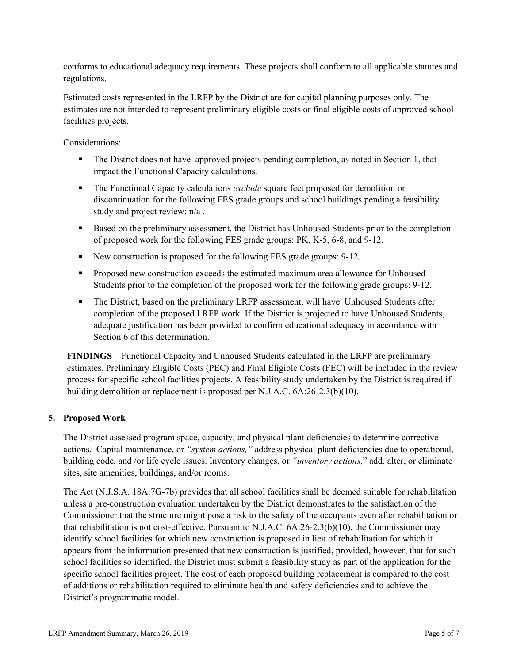conforms to educational adequacy requirements. These projects shall conform to all applicable statutes and regulations.

Estimated costs represented in the LRFP by the District are for capital planning purposes only. The estimates are not intended to represent preliminary eligible costs or final eligible costs of approved school facilities projects.

Considerations:

- The District does not have approved projects pending completion, as noted in Section 1, that impact the Functional Capacity calculations.
- The Functional Capacity calculations *exclude* square feet proposed for demolition or discontinuation for the following FES grade groups and school buildings pending a feasibility study and project review: n/a .
- Based on the preliminary assessment, the District has Unhoused Students prior to the completion of proposed work for the following FES grade groups: PK, K-5, 6-8, and 9-12.
- New construction is proposed for the following FES grade groups: 9-12.
- **Proposed new construction exceeds the estimated maximum area allowance for Unhoused** Students prior to the completion of the proposed work for the following grade groups: 9-12.
- The District, based on the preliminary LRFP assessment, will have Unhoused Students after completion of the proposed LRFP work. If the District is projected to have Unhoused Students, adequate justification has been provided to confirm educational adequacy in accordance with Section 6 of this determination.

**FINDINGS** Functional Capacity and Unhoused Students calculated in the LRFP are preliminary estimates. Preliminary Eligible Costs (PEC) and Final Eligible Costs (FEC) will be included in the review process for specific school facilities projects. A feasibility study undertaken by the District is required if building demolition or replacement is proposed per N.J.A.C. 6A:26-2.3(b)(10).

# **5. Proposed Work**

The District assessed program space, capacity, and physical plant deficiencies to determine corrective actions. Capital maintenance, or *"system actions,"* address physical plant deficiencies due to operational, building code, and /or life cycle issues. Inventory changes, or *"inventory actions,*" add, alter, or eliminate sites, site amenities, buildings, and/or rooms.

The Act (N.J.S.A. 18A:7G-7b) provides that all school facilities shall be deemed suitable for rehabilitation unless a pre-construction evaluation undertaken by the District demonstrates to the satisfaction of the Commissioner that the structure might pose a risk to the safety of the occupants even after rehabilitation or that rehabilitation is not cost-effective. Pursuant to N.J.A.C. 6A:26-2.3(b)(10), the Commissioner may identify school facilities for which new construction is proposed in lieu of rehabilitation for which it appears from the information presented that new construction is justified, provided, however, that for such school facilities so identified, the District must submit a feasibility study as part of the application for the specific school facilities project. The cost of each proposed building replacement is compared to the cost of additions or rehabilitation required to eliminate health and safety deficiencies and to achieve the District's programmatic model.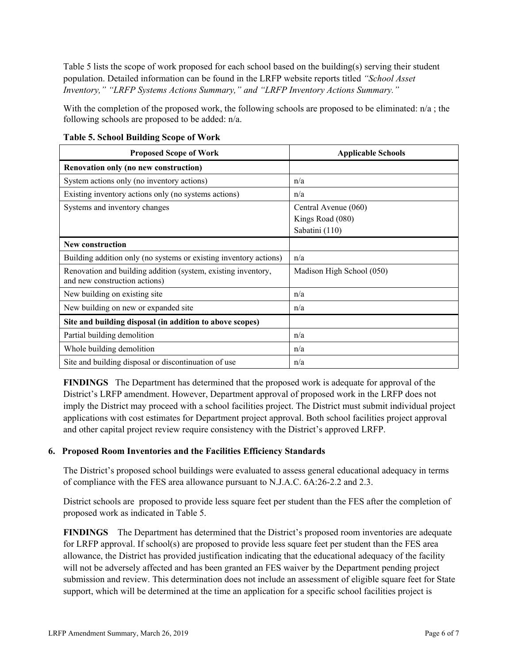Table 5 lists the scope of work proposed for each school based on the building(s) serving their student population. Detailed information can be found in the LRFP website reports titled *"School Asset Inventory," "LRFP Systems Actions Summary," and "LRFP Inventory Actions Summary."*

With the completion of the proposed work, the following schools are proposed to be eliminated:  $n/a$ ; the following schools are proposed to be added: n/a.

| <b>Proposed Scope of Work</b>                                                                  | <b>Applicable Schools</b>                                  |
|------------------------------------------------------------------------------------------------|------------------------------------------------------------|
| Renovation only (no new construction)                                                          |                                                            |
| System actions only (no inventory actions)                                                     | n/a                                                        |
| Existing inventory actions only (no systems actions)                                           | n/a                                                        |
| Systems and inventory changes                                                                  | Central Avenue (060)<br>Kings Road (080)<br>Sabatini (110) |
| New construction                                                                               |                                                            |
| Building addition only (no systems or existing inventory actions)                              | n/a                                                        |
| Renovation and building addition (system, existing inventory,<br>and new construction actions) | Madison High School (050)                                  |
| New building on existing site                                                                  | n/a                                                        |
| New building on new or expanded site                                                           | n/a                                                        |
| Site and building disposal (in addition to above scopes)                                       |                                                            |
| Partial building demolition                                                                    | n/a                                                        |
| Whole building demolition                                                                      | n/a                                                        |
| Site and building disposal or discontinuation of use                                           | n/a                                                        |

**Table 5. School Building Scope of Work**

**FINDINGS** The Department has determined that the proposed work is adequate for approval of the District's LRFP amendment. However, Department approval of proposed work in the LRFP does not imply the District may proceed with a school facilities project. The District must submit individual project applications with cost estimates for Department project approval. Both school facilities project approval and other capital project review require consistency with the District's approved LRFP.

#### **6. Proposed Room Inventories and the Facilities Efficiency Standards**

The District's proposed school buildings were evaluated to assess general educational adequacy in terms of compliance with the FES area allowance pursuant to N.J.A.C. 6A:26-2.2 and 2.3.

District schools are proposed to provide less square feet per student than the FES after the completion of proposed work as indicated in Table 5.

**FINDINGS** The Department has determined that the District's proposed room inventories are adequate for LRFP approval. If school(s) are proposed to provide less square feet per student than the FES area allowance, the District has provided justification indicating that the educational adequacy of the facility will not be adversely affected and has been granted an FES waiver by the Department pending project submission and review. This determination does not include an assessment of eligible square feet for State support, which will be determined at the time an application for a specific school facilities project is